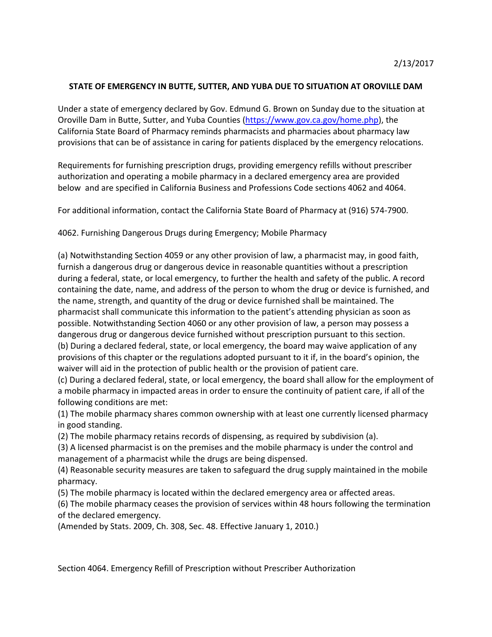## **STATE OF EMERGENCY IN BUTTE, SUTTER, AND YUBA DUE TO SITUATION AT OROVILLE DAM**

Under a state of emergency declared by Gov. Edmund G. Brown on Sunday due to the situation at Oroville Dam in Butte, Sutter, and Yuba Counties [\(https://www.gov.ca.gov/home.php\)](https://www.gov.ca.gov/home.php), the California State Board of Pharmacy reminds pharmacists and pharmacies about pharmacy law provisions that can be of assistance in caring for patients displaced by the emergency relocations.

Requirements for furnishing prescription drugs, providing emergency refills without prescriber authorization and operating a mobile pharmacy in a declared emergency area are provided below and are specified in California Business and Professions Code sections 4062 and 4064.

For additional information, contact the California State Board of Pharmacy at (916) 574-7900.

[4062.](javascript:submitCodesValues() Furnishing Dangerous Drugs during Emergency; Mobile Pharmacy

(a) Notwithstanding Section 4059 or any other provision of law, a pharmacist may, in good faith, furnish a dangerous drug or dangerous device in reasonable quantities without a prescription during a federal, state, or local emergency, to further the health and safety of the public. A record containing the date, name, and address of the person to whom the drug or device is furnished, and the name, strength, and quantity of the drug or device furnished shall be maintained. The pharmacist shall communicate this information to the patient's attending physician as soon as possible. Notwithstanding Section 4060 or any other provision of law, a person may possess a dangerous drug or dangerous device furnished without prescription pursuant to this section. (b) During a declared federal, state, or local emergency, the board may waive application of any provisions of this chapter or the regulations adopted pursuant to it if, in the board's opinion, the waiver will aid in the protection of public health or the provision of patient care.

(c) During a declared federal, state, or local emergency, the board shall allow for the employment of a mobile pharmacy in impacted areas in order to ensure the continuity of patient care, if all of the following conditions are met:

(1) The mobile pharmacy shares common ownership with at least one currently licensed pharmacy in good standing.

(2) The mobile pharmacy retains records of dispensing, as required by subdivision (a).

(3) A licensed pharmacist is on the premises and the mobile pharmacy is under the control and management of a pharmacist while the drugs are being dispensed.

(4) Reasonable security measures are taken to safeguard the drug supply maintained in the mobile pharmacy.

(5) The mobile pharmacy is located within the declared emergency area or affected areas.

(6) The mobile pharmacy ceases the provision of services within 48 hours following the termination of the declared emergency.

(Amended by Stats. 2009, Ch. 308, Sec. 48. Effective January 1, 2010.)

Section 4064. Emergency Refill of Prescription without Prescriber Authorization